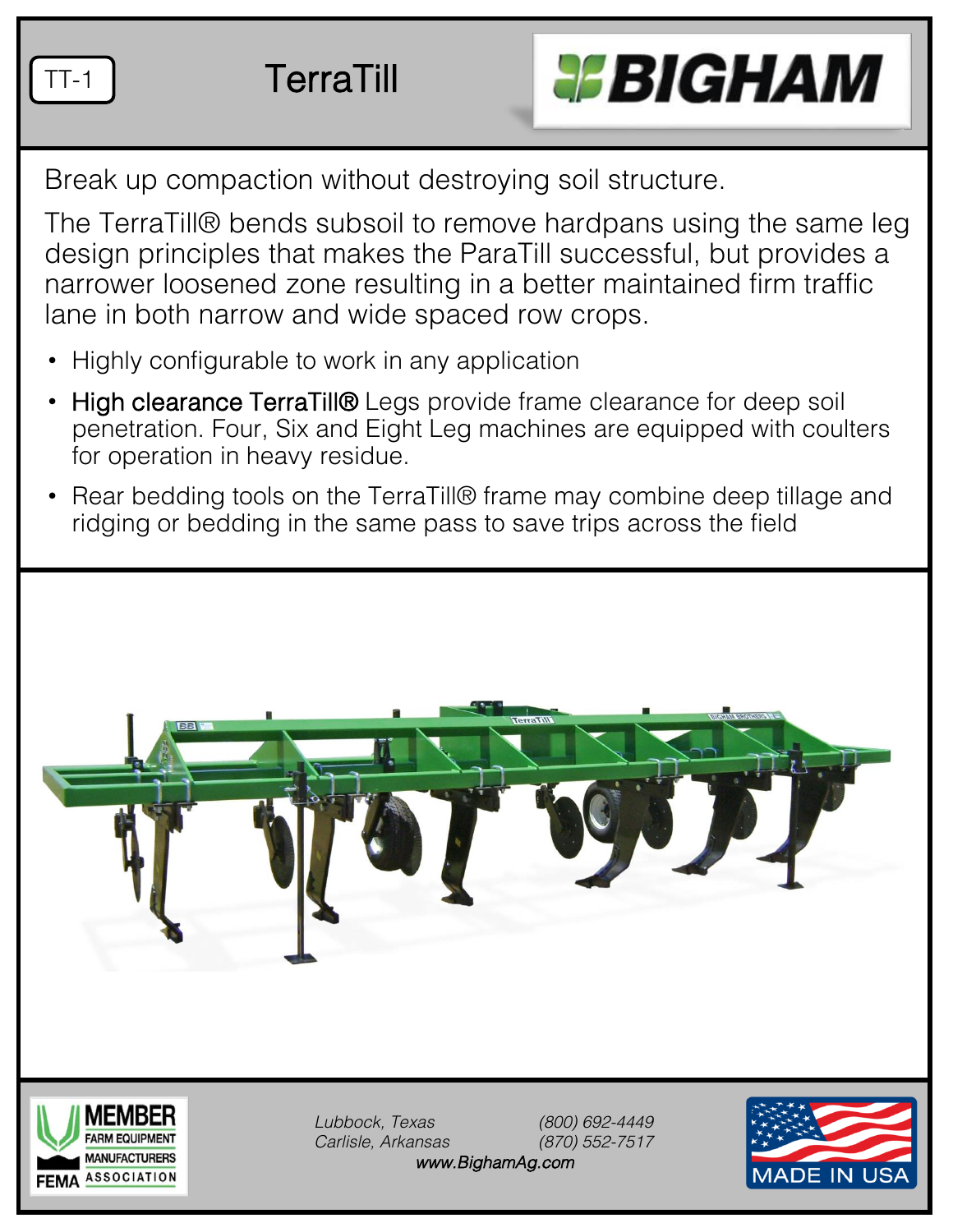TT-1 TerraTill



Break up compaction without destroying soil structure.

The TerraTill® bends subsoil to remove hardpans using the same leg design principles that makes the ParaTill successful, but provides a narrower loosened zone resulting in a better maintained firm traffic lane in both narrow and wide spaced row crops.

- Highly configurable to work in any application
- High clearance TerraTill® Legs provide frame clearance for deep soil penetration. Four, Six and Eight Leg machines are equipped with coulters for operation in heavy residue.
- Rear bedding tools on the TerraTill® frame may combine deep tillage and ridging or bedding in the same pass to save trips across the field





*Lubbock, Texas (800) 692-4449 Carlisle, Arkansas (870) 552-7517 www.BighamAg.com*